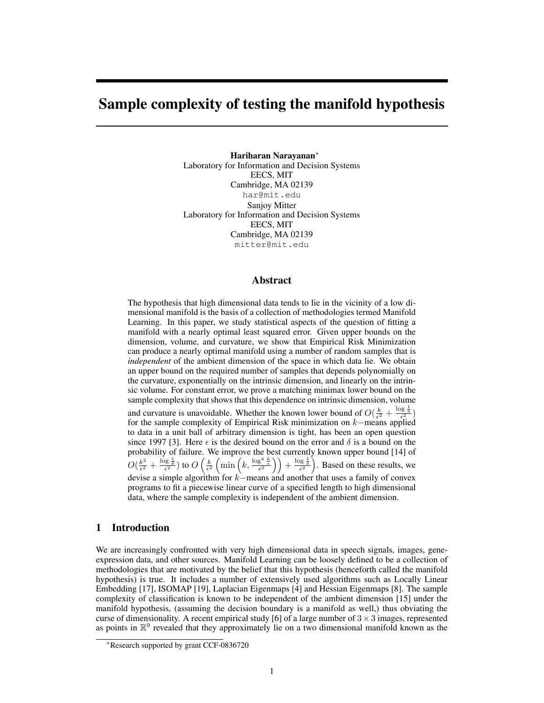# Sample complexity of testing the manifold hypothesis

Hariharan Narayanan<sup>∗</sup> Laboratory for Information and Decision Systems EECS, MIT Cambridge, MA 02139 har@mit.edu Sanjoy Mitter Laboratory for Information and Decision Systems EECS, MIT Cambridge, MA 02139 mitter@mit.edu

## Abstract

The hypothesis that high dimensional data tends to lie in the vicinity of a low dimensional manifold is the basis of a collection of methodologies termed Manifold Learning. In this paper, we study statistical aspects of the question of fitting a manifold with a nearly optimal least squared error. Given upper bounds on the dimension, volume, and curvature, we show that Empirical Risk Minimization can produce a nearly optimal manifold using a number of random samples that is *independent* of the ambient dimension of the space in which data lie. We obtain an upper bound on the required number of samples that depends polynomially on the curvature, exponentially on the intrinsic dimension, and linearly on the intrinsic volume. For constant error, we prove a matching minimax lower bound on the sample complexity that shows that this dependence on intrinsic dimension, volume

and curvature is unavoidable. Whether the known lower bound of  $O(\frac{k}{\epsilon^2} + \frac{\log \frac{1}{\delta}}{\epsilon^2})$ for the sample complexity of Empirical Risk minimization on k−means applied to data in a unit ball of arbitrary dimension is tight, has been an open question since 1997 [3]. Here  $\epsilon$  is the desired bound on the error and  $\delta$  is a bound on the probability of failure. We improve the best currently known upper bound [14] of  $O(\frac{k^2}{\epsilon^2})$  $\frac{k^2}{\epsilon^2} + \frac{\log \frac{1}{\delta}}{\epsilon^2}$ ) to  $O\left(\frac{k}{\epsilon^2} \left(\min\left(k, \frac{\log^4 \frac{k}{\epsilon}}{\epsilon^2}\right)\right) + \frac{\log \frac{1}{\delta}}{\epsilon^2}\right)$ . Based on these results, we devise a simple algorithm for k−means and another that uses a family of convex programs to fit a piecewise linear curve of a specified length to high dimensional data, where the sample complexity is independent of the ambient dimension.

# 1 Introduction

We are increasingly confronted with very high dimensional data in speech signals, images, geneexpression data, and other sources. Manifold Learning can be loosely defined to be a collection of methodologies that are motivated by the belief that this hypothesis (henceforth called the manifold hypothesis) is true. It includes a number of extensively used algorithms such as Locally Linear Embedding [17], ISOMAP [19], Laplacian Eigenmaps [4] and Hessian Eigenmaps [8]. The sample complexity of classification is known to be independent of the ambient dimension [15] under the manifold hypothesis, (assuming the decision boundary is a manifold as well,) thus obviating the curse of dimensionality. A recent empirical study [6] of a large number of  $3 \times 3$  images, represented as points in  $\mathbb{R}^9$  revealed that they approximately lie on a two dimensional manifold known as the

<sup>∗</sup>Research supported by grant CCF-0836720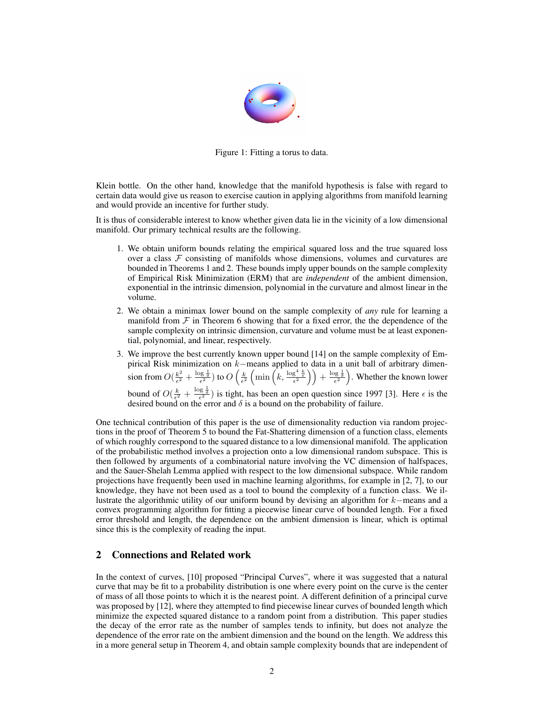

Figure 1: Fitting a torus to data.

Klein bottle. On the other hand, knowledge that the manifold hypothesis is false with regard to certain data would give us reason to exercise caution in applying algorithms from manifold learning and would provide an incentive for further study.

It is thus of considerable interest to know whether given data lie in the vicinity of a low dimensional manifold. Our primary technical results are the following.

- 1. We obtain uniform bounds relating the empirical squared loss and the true squared loss over a class  $F$  consisting of manifolds whose dimensions, volumes and curvatures are bounded in Theorems 1 and 2. These bounds imply upper bounds on the sample complexity of Empirical Risk Minimization (ERM) that are *independent* of the ambient dimension, exponential in the intrinsic dimension, polynomial in the curvature and almost linear in the volume.
- 2. We obtain a minimax lower bound on the sample complexity of *any* rule for learning a manifold from  $\mathcal F$  in Theorem 6 showing that for a fixed error, the the dependence of the sample complexity on intrinsic dimension, curvature and volume must be at least exponential, polynomial, and linear, respectively.
- 3. We improve the best currently known upper bound [14] on the sample complexity of Empirical Risk minimization on  $k$ −means applied to data in a unit ball of arbitrary dimension from  $O(\frac{k^2}{\epsilon^2})$  $\frac{k^2}{\epsilon^2} + \frac{\log \frac{1}{\delta}}{\epsilon^2}$ ) to  $O\left(\frac{k}{\epsilon^2} \left(\min\left(k, \frac{\log^4 \frac{k}{\epsilon}}{\epsilon^2}\right)\right) + \frac{\log \frac{1}{\delta}}{\epsilon^2}\right)$ . Whether the known lower bound of  $O(\frac{k}{\epsilon^2} + \frac{\log \frac{1}{\delta}}{\epsilon^2})$  is tight, has been an open question since 1997 [3]. Here  $\epsilon$  is the desired bound on the error and  $\delta$  is a bound on the probability of failure.

One technical contribution of this paper is the use of dimensionality reduction via random projections in the proof of Theorem 5 to bound the Fat-Shattering dimension of a function class, elements of which roughly correspond to the squared distance to a low dimensional manifold. The application of the probabilistic method involves a projection onto a low dimensional random subspace. This is then followed by arguments of a combinatorial nature involving the VC dimension of halfspaces, and the Sauer-Shelah Lemma applied with respect to the low dimensional subspace. While random projections have frequently been used in machine learning algorithms, for example in [2, 7], to our knowledge, they have not been used as a tool to bound the complexity of a function class. We illustrate the algorithmic utility of our uniform bound by devising an algorithm for k−means and a convex programming algorithm for fitting a piecewise linear curve of bounded length. For a fixed error threshold and length, the dependence on the ambient dimension is linear, which is optimal since this is the complexity of reading the input.

# 2 Connections and Related work

In the context of curves, [10] proposed "Principal Curves", where it was suggested that a natural curve that may be fit to a probability distribution is one where every point on the curve is the center of mass of all those points to which it is the nearest point. A different definition of a principal curve was proposed by [12], where they attempted to find piecewise linear curves of bounded length which minimize the expected squared distance to a random point from a distribution. This paper studies the decay of the error rate as the number of samples tends to infinity, but does not analyze the dependence of the error rate on the ambient dimension and the bound on the length. We address this in a more general setup in Theorem 4, and obtain sample complexity bounds that are independent of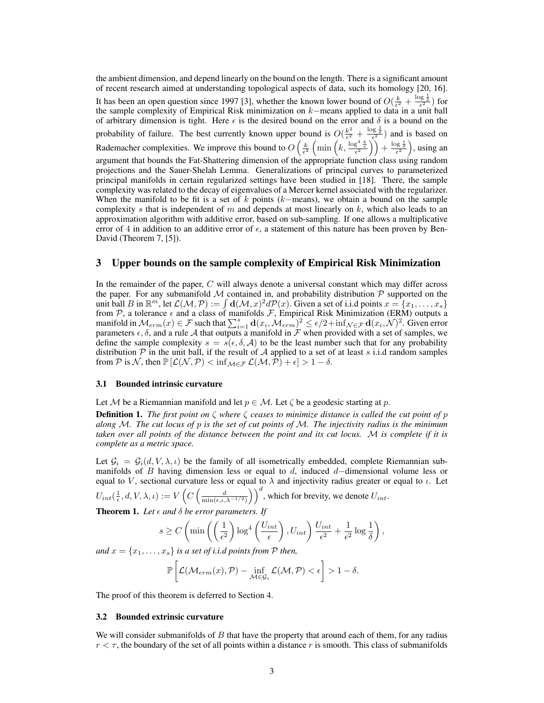the ambient dimension, and depend linearly on the bound on the length. There is a significant amount of recent research aimed at understanding topological aspects of data, such its homology [20, 16]. It has been an open question since 1997 [3], whether the known lower bound of  $O(\frac{k}{\epsilon^2} + \frac{\log \frac{1}{\delta}}{\epsilon^2})$  for the sample complexity of Empirical Risk minimization on  $k$ –means applied to data in a unit ball of arbitrary dimension is tight. Here  $\epsilon$  is the desired bound on the error and  $\delta$  is a bound on the probability of failure. The best currently known upper bound is  $O(\frac{k^2}{\epsilon^2})$  $\frac{k^2}{\epsilon^2} + \frac{\log \frac{1}{\delta}}{\epsilon^2}$  and is based on Rademacher complexities. We improve this bound to  $O\left(\frac{k}{\epsilon^2}\left(\min\left(k, \frac{\log^4 \frac{k}{\epsilon}}{\epsilon^2}\right)\right) + \frac{\log \frac{1}{\delta}}{\epsilon^2}\right)$ , using an argument that bounds the Fat-Shattering dimension of the appropriate function class using random projections and the Sauer-Shelah Lemma. Generalizations of principal curves to parameterized principal manifolds in certain regularized settings have been studied in [18]. There, the sample complexity was related to the decay of eigenvalues of a Mercer kernel associated with the regularizer. When the manifold to be fit is a set of k points  $(k$ -means), we obtain a bound on the sample complexity s that is independent of  $m$  and depends at most linearly on  $k$ , which also leads to an approximation algorithm with additive error, based on sub-sampling. If one allows a multiplicative error of 4 in addition to an additive error of  $\epsilon$ , a statement of this nature has been proven by Ben-David (Theorem 7, [5]).

## 3 Upper bounds on the sample complexity of Empirical Risk Minimization

In the remainder of the paper,  $C$  will always denote a universal constant which may differ across the paper. For any submanifold  $M$  contained in, and probability distribution  $P$  supported on the unit ball B in  $\mathbb{R}^m$ , let  $\mathcal{L}(\mathcal{M}, \mathcal{P}) := \int d(\mathcal{M}, x)^2 d\mathcal{P}(x)$ . Given a set of i.i.d points  $x = \{x_1, \dots, x_s\}$ from P, a tolerance  $\epsilon$  and a class of manifolds F, Empirical Risk Minimization (ERM) outputs a manifold in  $\mathcal{M}_{erm}(x) \in \mathcal{F}$  such that  $\sum_{i=1}^{s} \mathbf{d}(x_i, \mathcal{M}_{erm})^2 \le \epsilon/2 + \inf_{\mathcal{N} \in \mathcal{F}} \mathbf{d}(x_i, \mathcal{N})^2$ . Given error parameters  $\epsilon$ ,  $\delta$ , and a rule A that outputs a manifold in F when provided with a set of samples, we define the sample complexity  $s = s(\epsilon, \delta, A)$  to be the least number such that for any probability distribution  $P$  in the unit ball, if the result of A applied to a set of at least s i.i.d random samples from P is N, then  $\mathbb{P}[\mathcal{L}(\mathcal{N}, \mathcal{P}) < \inf_{\mathcal{M} \in \mathcal{F}} \mathcal{L}(\mathcal{M}, \mathcal{P}) + \epsilon] > 1 - \delta$ .

#### 3.1 Bounded intrinsic curvature

Let M be a Riemannian manifold and let  $p \in M$ . Let  $\zeta$  be a geodesic starting at p.

Definition 1. *The first point on* ζ *where* ζ *ceases to minimize distance is called the cut point of* p *along* M*. The cut locus of* p *is the set of cut points of* M*. The injectivity radius is the minimum taken over all points of the distance between the point and its cut locus.* M *is complete if it is complete as a metric space.*

Let  $\mathcal{G}_i = \mathcal{G}_i(d, V, \lambda, \iota)$  be the family of all isometrically embedded, complete Riemannian submanifolds of B having dimension less or equal to d, induced  $d$ -dimensional volume less or equal to V, sectional curvature less or equal to  $\lambda$  and injectivity radius greater or equal to  $\iota$ . Let

 $U_{int}(\frac{1}{\epsilon}, d, V, \lambda, \iota):=V\left(C\left(\frac{d}{\min(\epsilon, \iota, \lambda^{-1/2})}\right)\right)^d,$  which for brevity, we denote  $U_{int}.$ 

**Theorem 1.** Let  $\epsilon$  and  $\delta$  be error parameters. If

$$
s \geq C \left( \min \left( \left( \frac{1}{\epsilon^2} \right) \log^4 \left( \frac{U_{int}}{\epsilon} \right), U_{int} \right) \frac{U_{int}}{\epsilon^2} + \frac{1}{\epsilon^2} \log \frac{1}{\delta} \right),\right.
$$

*and*  $x = \{x_1, \ldots, x_s\}$  *is a set of i.i.d points from*  $P$  *then,* 

$$
\mathbb{P}\left[\mathcal{L}(\mathcal{M}_{erm}(x), \mathcal{P}) - \inf_{\mathcal{M} \in \mathcal{G}_i} \mathcal{L}(\mathcal{M}, \mathcal{P}) < \epsilon\right] > 1 - \delta.
$$

The proof of this theorem is deferred to Section 4.

#### 3.2 Bounded extrinsic curvature

We will consider submanifolds of  $B$  that have the property that around each of them, for any radius  $r < \tau$ , the boundary of the set of all points within a distance r is smooth. This class of submanifolds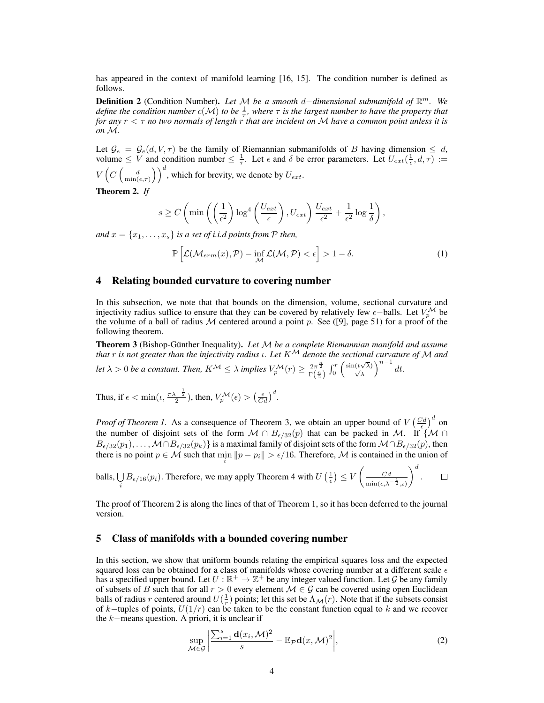has appeared in the context of manifold learning [16, 15]. The condition number is defined as follows.

Definition 2 (Condition Number). *Let* M *be a smooth* d−*dimensional submanifold of* R <sup>m</sup>*. We define the condition number*  $c(M)$  *to be*  $\frac{1}{\tau}$ , where  $\tau$  *is the largest number to have the property that for any* r < τ *no two normals of length* r *that are incident on* M *have a common point unless it is on* M*.*

Let  $\mathcal{G}_e = \mathcal{G}_e(d, V, \tau)$  be the family of Riemannian submanifolds of B having dimension  $\leq d$ , volume  $\leq V$  and condition number  $\leq \frac{1}{\tau}$ . Let  $\epsilon$  and  $\delta$  be error parameters. Let  $U_{ext}(\frac{1}{\epsilon}, d, \tau) :=$  $V\left(C\left(\frac{d}{\min(\epsilon,\tau)}\right)\right)^d$ , which for brevity, we denote by  $U_{ext}$ .

Theorem 2. *If*

$$
s \ge C \left( \min \left( \left( \frac{1}{\epsilon^2} \right) \log^4 \left( \frac{U_{ext}}{\epsilon} \right), U_{ext} \right) \frac{U_{ext}}{\epsilon^2} + \frac{1}{\epsilon^2} \log \frac{1}{\delta} \right),\right.
$$

*and*  $x = \{x_1, \ldots, x_s\}$  *is a set of i.i.d points from*  $P$  *then,* 

$$
\mathbb{P}\left[\mathcal{L}(\mathcal{M}_{erm}(x), \mathcal{P}) - \inf_{\mathcal{M}} \mathcal{L}(\mathcal{M}, \mathcal{P}) < \epsilon\right] > 1 - \delta. \tag{1}
$$

#### 4 Relating bounded curvature to covering number

In this subsection, we note that that bounds on the dimension, volume, sectional curvature and injectivity radius suffice to ensure that they can be covered by relatively few  $\epsilon$ -balls. Let  $V_n^{\mathcal{M}}$  be the volume of a ball of radius M centered around a point p. See ([9], page 51) for a proof of the following theorem.

**Theorem 3** (Bishop-Günther Inequality). Let M be a complete Riemannian manifold and assume *that* r *is not greater than the injectivity radius* ι*. Let* K<sup>M</sup> *denote the sectional curvature of* M *and let*  $\lambda > 0$  *be a constant. Then,*  $K^{\mathcal{M}} \leq \lambda$  *implies*  $V_p^{\mathcal{M}}(r) \geq \frac{2\pi^{\frac{n}{2}}}{\Gamma(\frac{n}{2})} \int_0^r \left( \frac{\sin(t\sqrt{\lambda})}{\sqrt{\lambda}} \right)^{n-1} dt$ .

Thus, if  $\epsilon < \min(\iota, \frac{\pi \lambda^{-\frac{1}{2}}}{2})$ , then,  $V_p^{\mathcal{M}}(\epsilon) > \left(\frac{\epsilon}{Cd}\right)^d$ .

*Proof of Theorem 1.* As a consequence of Theorem 3, we obtain an upper bound of  $V \left(\frac{Cd}{\epsilon}\right)^d$  on the number of disjoint sets of the form  $M \cap B_{\epsilon/32}(p)$  that can be packed in M. If {M ∩  $B_{\epsilon/32}(p_1), \ldots, \mathcal{M}\cap B_{\epsilon/32}(p_k)\}$  is a maximal family of disjoint sets of the form  $\mathcal{M}\cap B_{\epsilon/32}(p)$ , then there is no point  $p \in \mathcal{M}$  such that  $\min_i ||p - p_i|| > \epsilon/16$ . Therefore,  $\mathcal M$  is contained in the union of

balls, 
$$
\bigcup_i B_{\epsilon/16}(p_i)
$$
. Therefore, we may apply Theorem 4 with  $U\left(\frac{1}{\epsilon}\right) \leq V\left(\frac{Cd}{\min(\epsilon, \lambda^{-\frac{1}{2}}, \iota)}\right)^d$ .

The proof of Theorem 2 is along the lines of that of Theorem 1, so it has been deferred to the journal version.

## 5 Class of manifolds with a bounded covering number

In this section, we show that uniform bounds relating the empirical squares loss and the expected squared loss can be obtained for a class of manifolds whose covering number at a different scale  $\epsilon$ has a specified upper bound. Let  $U : \mathbb{R}^+ \to \mathbb{Z}^+$  be any integer valued function. Let G be any family of subsets of B such that for all  $r > 0$  every element  $\mathcal{M} \in \mathcal{G}$  can be covered using open Euclidean balls of radius r centered around  $U(\frac{1}{r})$  points; let this set be  $\Lambda_M(r)$ . Note that if the subsets consist of k−tuples of points,  $U(1/r)$  can be taken to be the constant function equal to k and we recover the k−means question. A priori, it is unclear if

$$
\sup_{\mathcal{M}\in\mathcal{G}}\left|\frac{\sum_{i=1}^{s}\mathbf{d}(x_{i},\mathcal{M})^{2}}{s}-\mathbb{E}_{\mathcal{P}}\mathbf{d}(x,\mathcal{M})^{2}\right|,
$$
\n(2)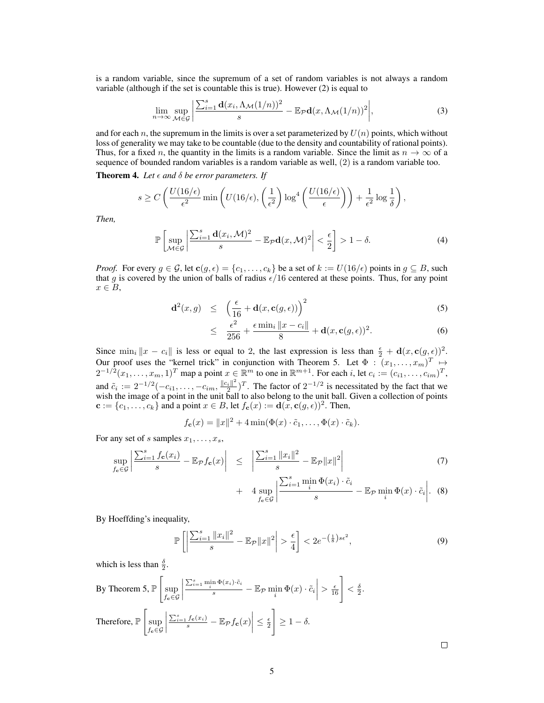is a random variable, since the supremum of a set of random variables is not always a random variable (although if the set is countable this is true). However (2) is equal to

$$
\lim_{n \to \infty} \sup_{\mathcal{M} \in \mathcal{G}} \left| \frac{\sum_{i=1}^s \mathbf{d}(x_i, \Lambda_{\mathcal{M}}(1/n))^2}{s} - \mathbb{E}_{\mathcal{P}} \mathbf{d}(x, \Lambda_{\mathcal{M}}(1/n))^2 \right|,
$$
\n(3)

and for each n, the supremum in the limits is over a set parameterized by  $U(n)$  points, which without loss of generality we may take to be countable (due to the density and countability of rational points). Thus, for a fixed n, the quantity in the limits is a random variable. Since the limit as  $n \to \infty$  of a sequence of bounded random variables is a random variable as well, (2) is a random variable too.

**Theorem 4.** Let  $\epsilon$  and  $\delta$  be error parameters. If

$$
s \ge C\left(\frac{U(16/\epsilon)}{\epsilon^2} \min\left(U(16/\epsilon), \left(\frac{1}{\epsilon^2}\right) \log^4\left(\frac{U(16/\epsilon)}{\epsilon}\right)\right) + \frac{1}{\epsilon^2} \log\frac{1}{\delta}\right),\right)
$$

*Then,*

$$
\mathbb{P}\left[\sup_{\mathcal{M}\in\mathcal{G}}\left|\frac{\sum_{i=1}^s\mathbf{d}(x_i,\mathcal{M})^2}{s}-\mathbb{E}_{\mathcal{P}}\mathbf{d}(x,\mathcal{M})^2\right|<\frac{\epsilon}{2}\right]>1-\delta.\tag{4}
$$

*Proof.* For every  $g \in \mathcal{G}$ , let  $c(g, \epsilon) = \{c_1, \ldots, c_k\}$  be a set of  $k := U(16/\epsilon)$  points in  $g \subseteq B$ , such that g is covered by the union of balls of radius  $\epsilon/16$  centered at these points. Thus, for any point  $x \in B$ ,

$$
\mathbf{d}^2(x,g) \leq \left(\frac{\epsilon}{16} + \mathbf{d}(x,\mathbf{c}(g,\epsilon))\right)^2 \tag{5}
$$

$$
\leq \frac{\epsilon^2}{256} + \frac{\epsilon \min_i \|x - c_i\|}{8} + \mathbf{d}(x, \mathbf{c}(g, \epsilon))^2. \tag{6}
$$

Since  $\min_i ||x - c_i||$  is less or equal to 2, the last expression is less than  $\frac{\epsilon}{2} + d(x, c(g, \epsilon))^2$ . Our proof uses the "kernel trick" in conjunction with Theorem 5. Let  $\Phi : (x_1, \ldots, x_m)^T \mapsto$  $2^{-1/2}(x_1,\ldots,x_m,1)^T$  map a point  $x \in \mathbb{R}^m$  to one in  $\mathbb{R}^{m+1}$ . For each i, let  $c_i := (c_{i1},\ldots,c_{im})^T$ , and  $\tilde{c}_i := 2^{-1/2}(-c_{i1}, \ldots, -c_{im}, \frac{\|c_i\|^2}{2})$  $\frac{1}{2}$ )<sup>T</sup>. The factor of  $2^{-1/2}$  is necessitated by the fact that we wish the image of a point in the unit ball to also belong to the unit ball. Given a collection of points  $\mathbf{c} := \{c_1, \ldots, c_k\}$  and a point  $x \in B$ , let  $f_{\mathbf{c}}(x) := \mathbf{d}(x, \mathbf{c}(g, \epsilon))^2$ . Then,

$$
f_{\mathbf{c}}(x) = ||x||^2 + 4 \min(\Phi(x) \cdot \tilde{c}_1, \dots, \Phi(x) \cdot \tilde{c}_k).
$$

For any set of s samples  $x_1, \ldots, x_s$ ,

$$
\sup_{f_{\mathbf{c}} \in \mathcal{G}} \left| \frac{\sum_{i=1}^{s} f_{\mathbf{c}}(x_i)}{s} - \mathbb{E}_{\mathcal{P}} f_{\mathbf{c}}(x) \right| \leq \left| \frac{\sum_{i=1}^{s} ||x_i||^2}{s} - \mathbb{E}_{\mathcal{P}} ||x||^2 \right| \tag{7}
$$

+ 
$$
4 \sup_{f_{\mathbf{c}} \in \mathcal{G}} \left| \frac{\sum_{i=1}^{s} \min_{i} \Phi(x_i) \cdot \tilde{c}_i}{s} - \mathbb{E}_{\mathcal{P}} \min_{i} \Phi(x) \cdot \tilde{c}_i \right|
$$
. (8)

By Hoeffding's inequality,

$$
\mathbb{P}\left[\left|\frac{\sum_{i=1}^{s} \|x_i\|^2}{s} - \mathbb{E}_{\mathcal{P}}\|x\|^2\right| > \frac{\epsilon}{4}\right] < 2e^{-\left(\frac{1}{8}\right)s\epsilon^2},\tag{9}
$$

which is less than  $\frac{\delta}{2}$ .

sup

By Theorem 5, 
$$
\mathbb{P}\left[\sup_{f_c \in \mathcal{G}} \left|\frac{\sum_{i=1}^s \min_i \Phi(x_i) \cdot \tilde{c}_i}{s} - \mathbb{E}_{\mathcal{P}} \min_i \Phi(x) \cdot \tilde{c}_i\right| > \frac{\epsilon}{16}\right] < \frac{\delta}{2}.
$$
  
Therefore,  $\mathbb{P}\left[\sup_{f_c \in \mathcal{G}} \left|\frac{\sum_{i=1}^s f_c(x_i)}{s} - \mathbb{E}_{\mathcal{P}} f_c(x)\right| \le \frac{\epsilon}{2}\right] \ge 1 - \delta.$ 

 $\Box$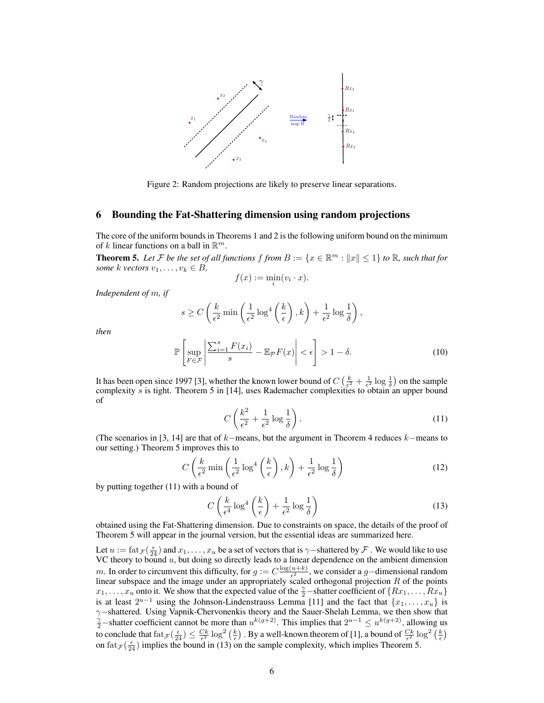

Figure 2: Random projections are likely to preserve linear separations.

#### 6 Bounding the Fat-Shattering dimension using random projections

The core of the uniform bounds in Theorems 1 and 2 is the following uniform bound on the minimum of k linear functions on a ball in  $\mathbb{R}^m$ .

**Theorem 5.** Let F be the set of all functions  $f$  from  $B := \{x \in \mathbb{R}^m : ||x|| \leq 1\}$  to  $\mathbb{R}$ *, such that for some*  $k$  *vectors*  $v_1, \ldots, v_k \in B$ ,

$$
f(x) := \min_{i} (v_i \cdot x).
$$

*Independent of* m*, if*

$$
s \ge C\left(\frac{k}{\epsilon^2} \min\left(\frac{1}{\epsilon^2} \log^4\left(\frac{k}{\epsilon}\right), k\right) + \frac{1}{\epsilon^2} \log \frac{1}{\delta}\right),\right\}
$$

*then*

$$
\mathbb{P}\left[\sup_{F \in \mathcal{F}} \left| \frac{\sum_{i=1}^{s} F(x_i)}{s} - \mathbb{E}_{\mathcal{P}} F(x) \right| < \epsilon\right] > 1 - \delta. \tag{10}
$$

It has been open since 1997 [3], whether the known lower bound of  $C\left(\frac{k}{\epsilon^2} + \frac{1}{\epsilon^2}\log\frac{1}{\delta}\right)$  on the sample complexity s is tight. Theorem 5 in [14], uses Rademacher complexities to obtain an upper bound of

$$
C\left(\frac{k^2}{\epsilon^2} + \frac{1}{\epsilon^2}\log\frac{1}{\delta}\right). \tag{11}
$$

(The scenarios in [3, 14] are that of  $k$ −means, but the argument in Theorem 4 reduces  $k$ −means to our setting.) Theorem 5 improves this to

$$
C\left(\frac{k}{\epsilon^2}\min\left(\frac{1}{\epsilon^2}\log^4\left(\frac{k}{\epsilon}\right),k\right)+\frac{1}{\epsilon^2}\log\frac{1}{\delta}\right) \tag{12}
$$

by putting together (11) with a bound of

$$
C\left(\frac{k}{\epsilon^4}\log^4\left(\frac{k}{\epsilon}\right) + \frac{1}{\epsilon^2}\log\frac{1}{\delta}\right) \tag{13}
$$

obtained using the Fat-Shattering dimension. Due to constraints on space, the details of the proof of Theorem 5 will appear in the journal version, but the essential ideas are summarized here.

Let  $u := \text{fat}_{\mathcal{F}}(\frac{\epsilon}{24})$  and  $x_1, \ldots, x_u$  be a set of vectors that is  $\gamma$  –shattered by  $\mathcal{F}$ . We would like to use VC theory to bound  $u$ , but doing so directly leads to a linear dependence on the ambient dimension m. In order to circumvent this difficulty, for  $g := C \frac{\log(u+k)}{\epsilon^2}$  $\frac{u+k}{\epsilon^2}$ , we consider a g−dimensional random linear subspace and the image under an appropriately scaled orthogonal projection  $R$  of the points  $x_1, \ldots, x_u$  onto it. We show that the expected value of the  $\frac{\gamma}{2}$ -shatter coefficient of  $\{Rx_1, \ldots, Rx_u\}$ is at least  $2^{u-1}$  using the Johnson-Lindenstrauss Lemma [11] and the fact that  $\{x_1, \ldots, x_u\}$  is γ–shattered. Using Vapnik-Chervonenkis theory and the Sauer-Shelah Lemma, we then show that  $\frac{\gamma}{2}$ –shatter coefficient cannot be more than  $u^{k(g+2)}$ . This implies that  $2^{u-1} \le u^{k(g+2)}$ , allowing us to conclude that  $\text{fat}_{\mathcal{F}}(\frac{\epsilon}{24}) \leq \frac{Ck}{\epsilon^2} \log^2(\frac{k}{\epsilon})$ . By a well-known theorem of [1], a bound of  $\frac{Ck}{\epsilon^2} \log^2(\frac{k}{\epsilon})$ on  $\text{fat}_{\mathcal{F}}(\frac{\epsilon}{24})$  implies the bound in (13) on the sample complexity, which implies Theorem 5.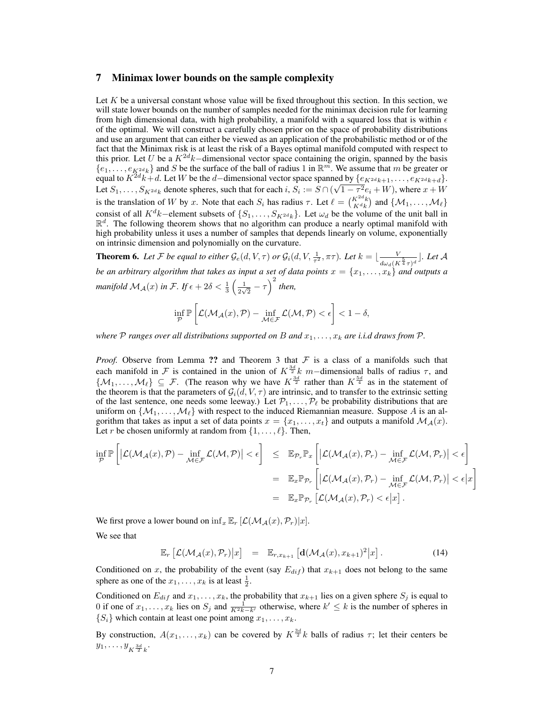## 7 Minimax lower bounds on the sample complexity

Let  $K$  be a universal constant whose value will be fixed throughout this section. In this section, we will state lower bounds on the number of samples needed for the minimax decision rule for learning from high dimensional data, with high probability, a manifold with a squared loss that is within  $\epsilon$ of the optimal. We will construct a carefully chosen prior on the space of probability distributions and use an argument that can either be viewed as an application of the probabilistic method or of the fact that the Minimax risk is at least the risk of a Bayes optimal manifold computed with respect to this prior. Let U be a  $K^{2d}k$ −dimensional vector space containing the origin, spanned by the basis  $\{e_1,\ldots,e_{K^{2d}k}\}\$  and S be the surface of the ball of radius 1 in  $\mathbb{R}^m$ . We assume that m be greater or equal to  $K^{2d}k+d$ . Let W be the d–dimensional vector space spanned by  $\{e_{K^{2d}k+1}, \ldots, e_{K^{2d}k+d}\}.$ Let  $S_1, \ldots, S_{K^{2d}k}$  denote spheres, such that for each  $i, S_i := S \cap ($ µe  $(1 - \tau^2 e_i + W)$ , where  $x + W$ is the translation of W by x. Note that each  $S_i$  has radius  $\tau$ . Let  $\ell = \binom{K^{2d}k}{K^{d}k}$  and  $\{\mathcal{M}_1, \ldots, \mathcal{M}_\ell\}$ consist of all  $K^d k$ –element subsets of  $\{S_1, \ldots, S_{K^{2d}k}\}\)$ . Let  $\omega_d$  be the volume of the unit ball in  $\mathbb{R}^d$ . The following theorem shows that no algorithm can produce a nearly optimal manifold with high probability unless it uses a number of samples that depends linearly on volume, exponentially on intrinsic dimension and polynomially on the curvature.

**Theorem 6.** Let F be equal to either  $\mathcal{G}_e(d, V, \tau)$  or  $\mathcal{G}_i(d, V, \frac{1}{\tau^2}, \pi\tau)$ . Let  $k = \lfloor \frac{V}{d_{\text{max}}(K)} \rfloor$  $\frac{V}{d\omega_d(K^{\frac{5}{4}}\tau)^d}$  ]. Let  ${\mathcal A}$ *be an arbitrary algorithm that takes as input a set of data points*  $x = \{x_1, \ldots, x_k\}$  *and outputs a manifold*  $\mathcal{M}_{\mathcal{A}}(x)$  *in F. If*  $\epsilon + 2\delta < \frac{1}{3} \left( \frac{1}{2\sqrt{2\delta}} \right)$  $\frac{1}{2\sqrt{2}} - \tau$ )<sup>2</sup> then,

$$
\inf_{\mathcal{P}} \mathbb{P}\left[\mathcal{L}(\mathcal{M}_{\mathcal{A}}(x), \mathcal{P}) - \inf_{\mathcal{M} \in \mathcal{F}} \mathcal{L}(\mathcal{M}, \mathcal{P}) < \epsilon\right] < 1 - \delta,
$$

*where*  $P$  *ranges over all distributions supported on*  $B$  *and*  $x_1, \ldots, x_k$  *are i.i.d draws from*  $P$ *.* 

*Proof.* Observe from Lemma ?? and Theorem 3 that  $F$  is a class of a manifolds such that each manifold in F is contained in the union of  $K^{\frac{3d}{2}}k$  m–dimensional balls of radius  $\tau$ , and  $\{\mathcal{M}_1,\ldots,\mathcal{M}_\ell\}\subseteq \mathcal{F}$ . (The reason why we have  $K^{\frac{3d}{2}}$  rather than  $K^{\frac{5d}{4}}$  as in the statement of the theorem is that the parameters of  $\mathcal{G}_i(d, V, \tau)$  are intrinsic, and to transfer to the extrinsic setting of the last sentence, one needs some leeway.) Let  $\mathcal{P}_1, \ldots, \mathcal{P}_\ell$  be probability distributions that are uniform on  $\{M_1, \ldots, M_\ell\}$  with respect to the induced Riemannian measure. Suppose A is an algorithm that takes as input a set of data points  $x = \{x_1, \ldots, x_t\}$  and outputs a manifold  $\mathcal{M}_{\mathcal{A}}(x)$ . Let r be chosen uniformly at random from  $\{1, \ldots, \ell\}$ . Then,

$$
\inf_{\mathcal{P}} \mathbb{P}\left[ \left| \mathcal{L}(\mathcal{M}_{\mathcal{A}}(x), \mathcal{P}) - \inf_{\mathcal{M} \in \mathcal{F}} \mathcal{L}(\mathcal{M}, \mathcal{P}) \right| < \epsilon \right] \leq \mathbb{E}_{\mathcal{P}_r} \mathbb{P}_x \left[ \left| \mathcal{L}(\mathcal{M}_{\mathcal{A}}(x), \mathcal{P}_r) - \inf_{\mathcal{M} \in \mathcal{F}} \mathcal{L}(\mathcal{M}, \mathcal{P}_r) \right| < \epsilon \right] \\
= \mathbb{E}_x \mathbb{P}_{\mathcal{P}_r} \left[ \left| \mathcal{L}(\mathcal{M}_{\mathcal{A}}(x), \mathcal{P}_r) - \inf_{\mathcal{M} \in \mathcal{F}} \mathcal{L}(\mathcal{M}, \mathcal{P}_r) \right| < \epsilon \right] \\
= \mathbb{E}_x \mathbb{P}_{\mathcal{P}_r} \left[ \mathcal{L}(\mathcal{M}_{\mathcal{A}}(x), \mathcal{P}_r) < \epsilon | x \right].
$$

We first prove a lower bound on  $\inf_x \mathbb{E}_r [\mathcal{L}(\mathcal{M}_{\mathcal{A}}(x), \mathcal{P}_r)|x].$ 

Er

We see that

$$
\mathbb{E}_r \left[ \mathcal{L}(\mathcal{M}_{\mathcal{A}}(x), \mathcal{P}_r) \big| x \right] = \mathbb{E}_{r, x_{k+1}} \left[ \mathbf{d}(\mathcal{M}_{\mathcal{A}}(x), x_{k+1})^2 \big| x \right]. \tag{14}
$$

Conditioned on x, the probability of the event (say  $E_{dif}$ ) that  $x_{k+1}$  does not belong to the same sphere as one of the  $x_1, \ldots, x_k$  is at least  $\frac{1}{2}$ .

Conditioned on  $E_{dif}$  and  $x_1, \ldots, x_k$ , the probability that  $x_{k+1}$  lies on a given sphere  $S_j$  is equal to 0 if one of  $x_1, \ldots, x_k$  lies on  $S_j$  and  $\frac{1}{K^2k-k'}$  otherwise, where  $k' \leq k$  is the number of spheres in  $\{S_i\}$  which contain at least one point among  $x_1, \ldots, x_k$ .

By construction,  $A(x_1,...,x_k)$  can be covered by  $K^{\frac{3d}{2}}k$  balls of radius  $\tau$ ; let their centers be  $y_1, \ldots, y_{K^{\frac{3d}{2}}k}$ .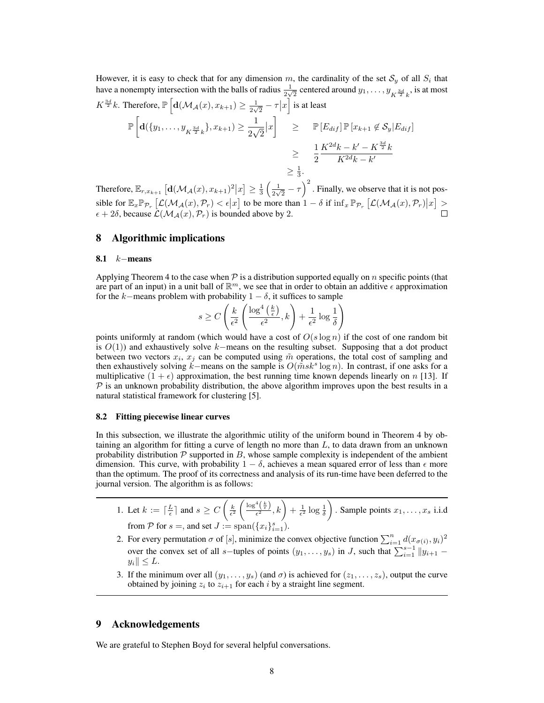However, it is easy to check that for any dimension m, the cardinality of the set  $S_y$  of all  $S_i$  that have a nonempty intersection with the balls of radius  $\frac{1}{2\sqrt{2}}$  centered around  $y_1, \ldots, y_{K^{\frac{3d}{2}}k}$ , is at most  $K^{\frac{3d}{2}}k$ . Therefore,  $\mathbb{P}\left[\mathbf{d}(\mathcal{M}_{\mathcal{A}}(x), x_{k+1}) \geq \frac{1}{2\sqrt{2}} - \tau |x\right]$  is at least

$$
\mathbb{P}\left[\mathbf{d}(\{y_1,\ldots,y_{K^{\frac{3d}{2}}k}\},x_{k+1})\geq \frac{1}{2\sqrt{2}}|x\right] \geq \mathbb{P}\left[E_{dif}\right]\mathbb{P}\left[x_{k+1}\notin\mathcal{S}_y|E_{dif}\right]
$$

$$
\geq \frac{1}{2}\frac{K^{2d}k - k' - K^{\frac{3d}{2}}k}{K^{2d}k - k'}
$$

$$
\geq \frac{1}{3}.
$$

Therefore,  $\mathbb{E}_{r,x_{k+1}}\left[\mathbf{d}(\mathcal{M}_{\mathcal{A}}(x),x_{k+1})^2\big| x\right] \geq \frac{1}{3}\left(\frac{1}{2\sqrt{2}}\right)$  $\left[\mathbf{d}(\mathcal{M}_{\mathcal{A}}(x), x_{k+1})^2 | x\right] \geq \frac{1}{3} \left(\frac{1}{2\sqrt{2}} - \tau\right)^2$ . Finally, we observe that it is not possible for  $\mathbb{E}_x \mathbb{P}_{\mathcal{P}_r} \left[ \mathcal{L}(\mathcal{M}_{\mathcal{A}}(x), \mathcal{P}_r) \right] \leq \epsilon |x|$  to be more than  $1 - \delta$  if  $\inf_x \mathbb{P}_{\mathcal{P}_r} \left[ \mathcal{L}(\mathcal{M}_{\mathcal{A}}(x), \mathcal{P}_r) |x \right] \geq$  $\epsilon + 2\delta$ , because  $\mathcal{L}(\mathcal{M}_{\mathcal{A}}(x), \mathcal{P}_{r})$  is bounded above by 2.

#### 8 Algorithmic implications

#### 8.1  $k$ −means

Applying Theorem 4 to the case when  $\mathcal P$  is a distribution supported equally on n specific points (that are part of an input) in a unit ball of  $\mathbb{R}^m$ , we see that in order to obtain an additive  $\epsilon$  approximation for the k–means problem with probability  $1 - \delta$ , it suffices to sample

$$
s \ge C\left(\frac{k}{\epsilon^2}\left(\frac{\log^4\left(\frac{k}{\epsilon}\right)}{\epsilon^2}, k\right) + \frac{1}{\epsilon^2}\log\frac{1}{\delta}\right)
$$

points uniformly at random (which would have a cost of  $O(s \log n)$ ) if the cost of one random bit is  $O(1)$ ) and exhaustively solve k–means on the resulting subset. Supposing that a dot product between two vectors  $x_i$ ,  $x_j$  can be computed using  $\tilde{m}$  operations, the total cost of sampling and then exhaustively solving  $\tilde{k}$ −means on the sample is  $O(m s k^s \log n)$ . In contrast, if one asks for a multiplicative  $(1 + \epsilon)$  approximation, the best running time known depends linearly on n [13]. If  $P$  is an unknown probability distribution, the above algorithm improves upon the best results in a natural statistical framework for clustering [5].

#### 8.2 Fitting piecewise linear curves

In this subsection, we illustrate the algorithmic utility of the uniform bound in Theorem 4 by obtaining an algorithm for fitting a curve of length no more than  $L$ , to data drawn from an unknown probability distribution  $P$  supported in  $B$ , whose sample complexity is independent of the ambient dimension. This curve, with probability  $1 - \delta$ , achieves a mean squared error of less than  $\epsilon$  more than the optimum. The proof of its correctness and analysis of its run-time have been deferred to the journal version. The algorithm is as follows:

1. Let 
$$
k := \lceil \frac{L}{\epsilon} \rceil
$$
 and  $s \ge C \left( \frac{k}{\epsilon^2} \left( \frac{\log^4(\frac{k}{\epsilon})}{\epsilon^2}, k \right) + \frac{1}{\epsilon^2} \log \frac{1}{\delta} \right)$ . Sample points  $x_1, \ldots, x_s$  i.i.d from  $\mathcal{P}$  for  $s =$ , and set  $J := \text{span}(\{x_i\}_{i=1}^s)$ .

- 2. For every permutation  $\sigma$  of [s], minimize the convex objective function  $\sum_{i=1}^{n} d(x_{\sigma(i)}, y_i)^2$ over the convex set of all s–tuples of points  $(y_1, \ldots, y_s)$  in J, such that  $\sum_{i=1}^{s-1} ||y_{i+1}$  $y_i \leq L$ .
- 3. If the minimum over all  $(y_1, \ldots, y_s)$  (and  $\sigma$ ) is achieved for  $(z_1, \ldots, z_s)$ , output the curve obtained by joining  $z_i$  to  $z_{i+1}$  for each i by a straight line segment.

# 9 Acknowledgements

We are grateful to Stephen Boyd for several helpful conversations.